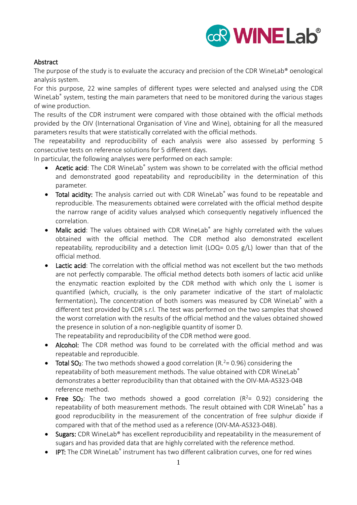

## **Abstract**

The purpose of the study is to evaluate the accuracy and precision of the CDR WineLab® oenological analysis system.

For this purpose, 22 wine samples of different types were selected and analysed using the CDR WineLab<sup>®</sup> system, testing the main parameters that need to be monitored during the various stages of wine production.

The results of the CDR instrument were compared with those obtained with the official methods provided by the OIV (International Organisation of Vine and Wine), obtaining for all the measured parameters results that were statistically correlated with the official methods.

The repeatability and reproducibility of each analysis were also assessed by performing 5 consecutive tests on reference solutions for 5 different days.

In particular, the following analyses were performed on each sample:

- Acetic acid: The CDR WineLab® system was shown to be correlated with the official method and demonstrated good repeatability and reproducibility in the determination of this parameter.
- Total acidity: The analysis carried out with CDR WineLab® was found to be repeatable and reproducible. The measurements obtained were correlated with the official method despite the narrow range of acidity values analysed which consequently negatively influenced the correlation.
- Malic acid: The values obtained with CDR WineLab® are highly correlated with the values obtained with the official method. The CDR method also demonstrated excellent repeatability, reproducibility and a detection limit (LOQ= 0.05  $g/L$ ) lower than that of the official method.
- Lactic acid: The correlation with the official method was not excellent but the two methods are not perfectly comparable. The official method detects both isomers of lactic acid unlike the enzymatic reaction exploited by the CDR method with which only the L isomer is quantified (which, crucially, is the only parameter indicative of the start of malolactic fermentation). The concentration of both isomers was measured by CDR WineLab® with a different test provided by CDR s.r.l. The test was performed on the two samples that showed the worst correlation with the results of the official method and the values obtained showed the presence in solution of a non-negligible quantity of isomer D.

The repeatability and reproducibility of the CDR method were good.

- Alcohol: The CDR method was found to be correlated with the official method and was repeatable and reproducible.
- Total SO<sub>2</sub>: The two methods showed a good correlation ( $R<sup>2</sup> = 0.96$ ) considering the repeatability of both measurement methods. The value obtained with CDR WineLab® demonstrates a better reproducibility than that obtained with the OIV-MA-AS323-04B reference method.
- Free SO<sub>2</sub>: The two methods showed a good correlation ( $R^2$ = 0.92) considering the repeatability of both measurement methods. The result obtained with CDR WineLab® has a good reproducibility in the measurement of the concentration of free sulphur dioxide if compared with that of the method used as a reference (OIV-MA-AS323-04B).
- Sugars: CDR WineLab<sup>®</sup> has excellent reproducibility and repeatability in the measurement of sugars and has provided data that are highly correlated with the reference method.
- IPT: The CDR WineLab® instrument has two different calibration curves, one for red wines